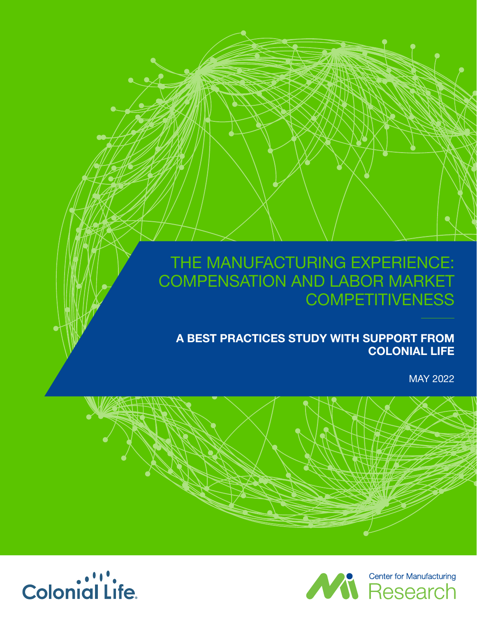# THE MANUFACTURING EXPERIENCE: COMPENSATION AND LABOR MARKET **COMPETITIVENESS**

**A BEST PRACTICES STUDY WITH SUPPORT FROM COLONIAL LIFE**

MAY 2022





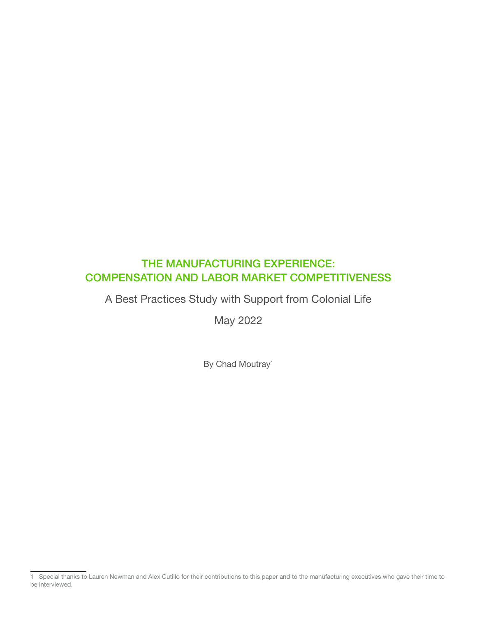# THE MANUFACTURING EXPERIENCE: COMPENSATION AND LABOR MARKET COMPETITIVENESS

A Best Practices Study with Support from Colonial Life

May 2022

By Chad Moutray<sup>1</sup>

<sup>1</sup> Special thanks to Lauren Newman and Alex Cutillo for their contributions to this paper and to the manufacturing executives who gave their time to be interviewed.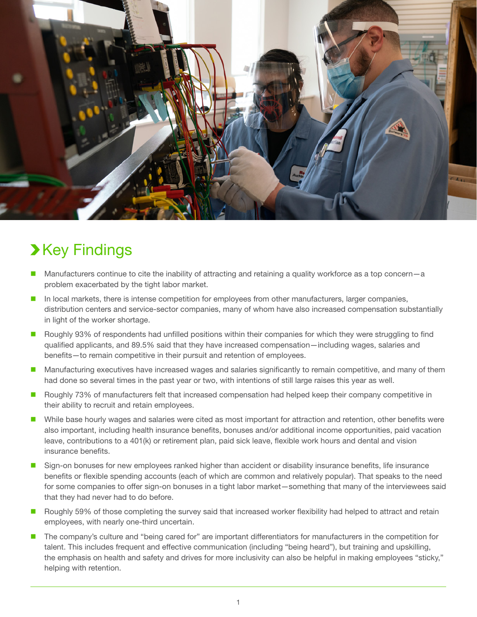

# **>Key Findings**

- Manufacturers continue to cite the inability of attracting and retaining a quality workforce as a top concern–a problem exacerbated by the tight labor market.
- In local markets, there is intense competition for employees from other manufacturers, larger companies, distribution centers and service-sector companies, many of whom have also increased compensation substantially in light of the worker shortage.
- **Roughly 93% of respondents had unfilled positions within their companies for which they were struggling to find** qualified applicants, and 89.5% said that they have increased compensation—including wages, salaries and benefits—to remain competitive in their pursuit and retention of employees.
- **Manufacturing executives have increased wages and salaries significantly to remain competitive, and many of them** had done so several times in the past year or two, with intentions of still large raises this year as well.
- Roughly 73% of manufacturers felt that increased compensation had helped keep their company competitive in their ability to recruit and retain employees.
- While base hourly wages and salaries were cited as most important for attraction and retention, other benefits were also important, including health insurance benefits, bonuses and/or additional income opportunities, paid vacation leave, contributions to a 401(k) or retirement plan, paid sick leave, flexible work hours and dental and vision insurance benefits.
- Sign-on bonuses for new employees ranked higher than accident or disability insurance benefits, life insurance benefits or flexible spending accounts (each of which are common and relatively popular). That speaks to the need for some companies to offer sign-on bonuses in a tight labor market—something that many of the interviewees said that they had never had to do before.
- **Roughly 59% of those completing the survey said that increased worker flexibility had helped to attract and retain** employees, with nearly one-third uncertain.
- The company's culture and "being cared for" are important differentiators for manufacturers in the competition for talent. This includes frequent and effective communication (including "being heard"), but training and upskilling, the emphasis on health and safety and drives for more inclusivity can also be helpful in making employees "sticky," helping with retention.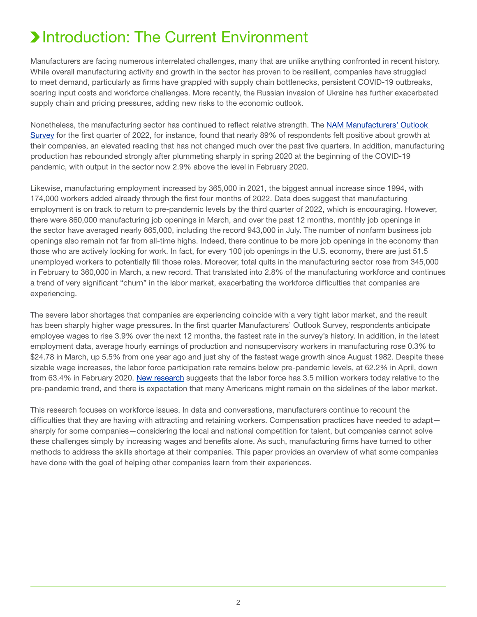# **>Introduction: The Current Environment**

Manufacturers are facing numerous interrelated challenges, many that are unlike anything confronted in recent history. While overall manufacturing activity and growth in the sector has proven to be resilient, companies have struggled to meet demand, particularly as firms have grappled with supply chain bottlenecks, persistent COVID-19 outbreaks, soaring input costs and workforce challenges. More recently, the Russian invasion of Ukraine has further exacerbated supply chain and pricing pressures, adding new risks to the economic outlook.

Nonetheless, the manufacturing sector has continued to reflect relative strength. The [NAM Manufacturers' Outlook](https://www.nam.org/wp-content/uploads/2022/03/Manufacturers_Outlook_Survey_Write_Up_Mar2022.pdf)  [Survey](https://www.nam.org/wp-content/uploads/2022/03/Manufacturers_Outlook_Survey_Write_Up_Mar2022.pdf) for the first quarter of 2022, for instance, found that nearly 89% of respondents felt positive about growth at their companies, an elevated reading that has not changed much over the past five quarters. In addition, manufacturing production has rebounded strongly after plummeting sharply in spring 2020 at the beginning of the COVID-19 pandemic, with output in the sector now 2.9% above the level in February 2020.

Likewise, manufacturing employment increased by 365,000 in 2021, the biggest annual increase since 1994, with 174,000 workers added already through the first four months of 2022. Data does suggest that manufacturing employment is on track to return to pre-pandemic levels by the third quarter of 2022, which is encouraging. However, there were 860,000 manufacturing job openings in March, and over the past 12 months, monthly job openings in the sector have averaged nearly 865,000, including the record 943,000 in July. The number of nonfarm business job openings also remain not far from all-time highs. Indeed, there continue to be more job openings in the economy than those who are actively looking for work. In fact, for every 100 job openings in the U.S. economy, there are just 51.5 unemployed workers to potentially fill those roles. Moreover, total quits in the manufacturing sector rose from 345,000 in February to 360,000 in March, a new record. That translated into 2.8% of the manufacturing workforce and continues a trend of very significant "churn" in the labor market, exacerbating the workforce difficulties that companies are experiencing.

The severe labor shortages that companies are experiencing coincide with a very tight labor market, and the result has been sharply higher wage pressures. In the first quarter Manufacturers' Outlook Survey, respondents anticipate employee wages to rise 3.9% over the next 12 months, the fastest rate in the survey's history. In addition, in the latest employment data, average hourly earnings of production and nonsupervisory workers in manufacturing rose 0.3% to \$24.78 in March, up 5.5% from one year ago and just shy of the fastest wage growth since August 1982. Despite these sizable wage increases, the labor force participation rate remains below pre-pandemic levels, at 62.2% in April, down from 63.4% in February 2020. [New research](https://wfhresearch.com/wp-content/uploads/2022/04/LongSocialDistance_v11_forwebsite.pdf) suggests that the labor force has 3.5 million workers today relative to the pre-pandemic trend, and there is expectation that many Americans might remain on the sidelines of the labor market.

This research focuses on workforce issues. In data and conversations, manufacturers continue to recount the difficulties that they are having with attracting and retaining workers. Compensation practices have needed to adapt sharply for some companies—considering the local and national competition for talent, but companies cannot solve these challenges simply by increasing wages and benefits alone. As such, manufacturing firms have turned to other methods to address the skills shortage at their companies. This paper provides an overview of what some companies have done with the goal of helping other companies learn from their experiences.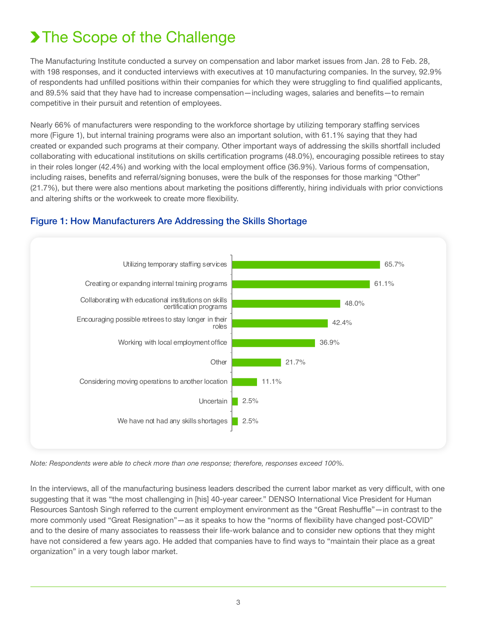# > The Scope of the Challenge

The Manufacturing Institute conducted a survey on compensation and labor market issues from Jan. 28 to Feb. 28, with 198 responses, and it conducted interviews with executives at 10 manufacturing companies. In the survey, 92.9% of respondents had unfilled positions within their companies for which they were struggling to find qualified applicants, and 89.5% said that they have had to increase compensation—including wages, salaries and benefits—to remain competitive in their pursuit and retention of employees.

Nearly 66% of manufacturers were responding to the workforce shortage by utilizing temporary staffing services more (Figure 1), but internal training programs were also an important solution, with 61.1% saying that they had created or expanded such programs at their company. Other important ways of addressing the skills shortfall included collaborating with educational institutions on skills certification programs (48.0%), encouraging possible retirees to stay in their roles longer (42.4%) and working with the local employment office (36.9%). Various forms of compensation, including raises, benefits and referral/signing bonuses, were the bulk of the responses for those marking "Other" (21.7%), but there were also mentions about marketing the positions differently, hiring individuals with prior convictions and altering shifts or the workweek to create more flexibility.



## Figure 1: How Manufacturers Are Addressing the Skills Shortage

*Note: Respondents were able to check more than one response; therefore, responses exceed 100%.*

In the interviews, all of the manufacturing business leaders described the current labor market as very difficult, with one suggesting that it was "the most challenging in [his] 40-year career." DENSO International Vice President for Human Resources Santosh Singh referred to the current employment environment as the "Great Reshuffle"—in contrast to the more commonly used "Great Resignation"—as it speaks to how the "norms of flexibility have changed post-COVID" and to the desire of many associates to reassess their life-work balance and to consider new options that they might have not considered a few years ago. He added that companies have to find ways to "maintain their place as a great organization" in a very tough labor market.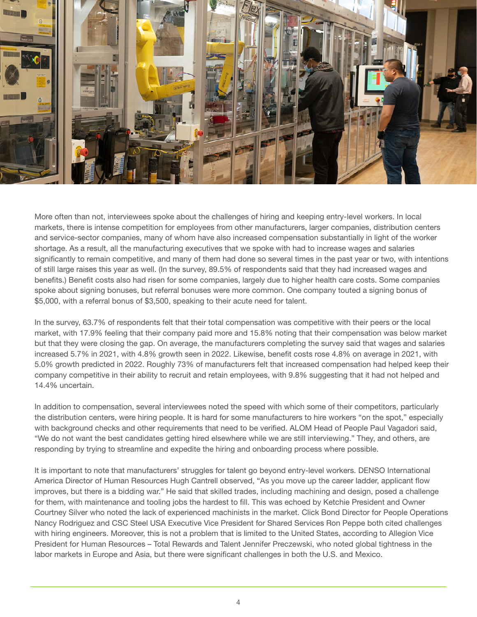

More often than not, interviewees spoke about the challenges of hiring and keeping entry-level workers. In local markets, there is intense competition for employees from other manufacturers, larger companies, distribution centers and service-sector companies, many of whom have also increased compensation substantially in light of the worker shortage. As a result, all the manufacturing executives that we spoke with had to increase wages and salaries significantly to remain competitive, and many of them had done so several times in the past year or two, with intentions of still large raises this year as well. (In the survey, 89.5% of respondents said that they had increased wages and benefits.) Benefit costs also had risen for some companies, largely due to higher health care costs. Some companies spoke about signing bonuses, but referral bonuses were more common. One company touted a signing bonus of \$5,000, with a referral bonus of \$3,500, speaking to their acute need for talent.

In the survey, 63.7% of respondents felt that their total compensation was competitive with their peers or the local market, with 17.9% feeling that their company paid more and 15.8% noting that their compensation was below market but that they were closing the gap. On average, the manufacturers completing the survey said that wages and salaries increased 5.7% in 2021, with 4.8% growth seen in 2022. Likewise, benefit costs rose 4.8% on average in 2021, with 5.0% growth predicted in 2022. Roughly 73% of manufacturers felt that increased compensation had helped keep their company competitive in their ability to recruit and retain employees, with 9.8% suggesting that it had not helped and 14.4% uncertain.

In addition to compensation, several interviewees noted the speed with which some of their competitors, particularly the distribution centers, were hiring people. It is hard for some manufacturers to hire workers "on the spot," especially with background checks and other requirements that need to be verified. ALOM Head of People Paul Vagadori said, "We do not want the best candidates getting hired elsewhere while we are still interviewing." They, and others, are responding by trying to streamline and expedite the hiring and onboarding process where possible.

It is important to note that manufacturers' struggles for talent go beyond entry-level workers. DENSO International America Director of Human Resources Hugh Cantrell observed, "As you move up the career ladder, applicant flow improves, but there is a bidding war." He said that skilled trades, including machining and design, posed a challenge for them, with maintenance and tooling jobs the hardest to fill. This was echoed by Ketchie President and Owner Courtney Silver who noted the lack of experienced machinists in the market. Click Bond Director for People Operations Nancy Rodriguez and CSC Steel USA Executive Vice President for Shared Services Ron Peppe both cited challenges with hiring engineers. Moreover, this is not a problem that is limited to the United States, according to Allegion Vice President for Human Resources – Total Rewards and Talent Jennifer Preczewski, who noted global tightness in the labor markets in Europe and Asia, but there were significant challenges in both the U.S. and Mexico.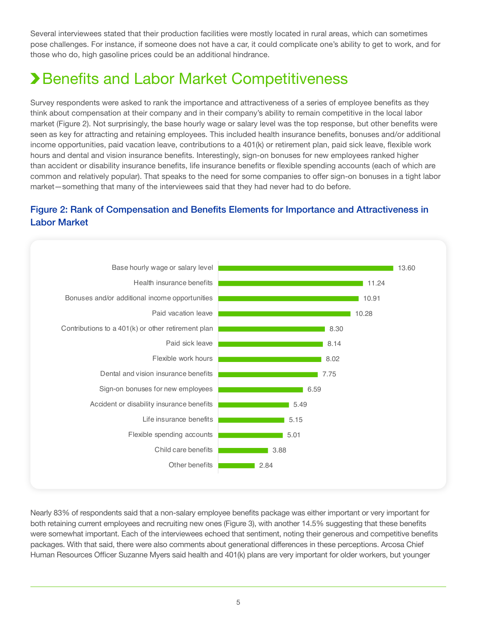Several interviewees stated that their production facilities were mostly located in rural areas, which can sometimes pose challenges. For instance, if someone does not have a car, it could complicate one's ability to get to work, and for those who do, high gasoline prices could be an additional hindrance.

# **> Benefits and Labor Market Competitiveness**

Survey respondents were asked to rank the importance and attractiveness of a series of employee benefits as they think about compensation at their company and in their company's ability to remain competitive in the local labor market (Figure 2). Not surprisingly, the base hourly wage or salary level was the top response, but other benefits were seen as key for attracting and retaining employees. This included health insurance benefits, bonuses and/or additional income opportunities, paid vacation leave, contributions to a 401(k) or retirement plan, paid sick leave, flexible work hours and dental and vision insurance benefits. Interestingly, sign-on bonuses for new employees ranked higher than accident or disability insurance benefits, life insurance benefits or flexible spending accounts (each of which are common and relatively popular). That speaks to the need for some companies to offer sign-on bonuses in a tight labor market—something that many of the interviewees said that they had never had to do before.

# Figure 2: Rank of Compensation and Benefits Elements for Importance and Attractiveness in Labor Market



Nearly 83% of respondents said that a non-salary employee benefits package was either important or very important for both retaining current employees and recruiting new ones (Figure 3), with another 14.5% suggesting that these benefits were somewhat important. Each of the interviewees echoed that sentiment, noting their generous and competitive benefits packages. With that said, there were also comments about generational differences in these perceptions. Arcosa Chief Human Resources Officer Suzanne Myers said health and 401(k) plans are very important for older workers, but younger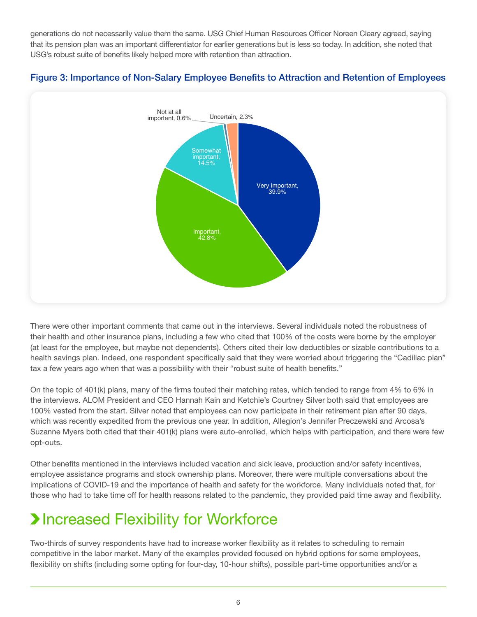generations do not necessarily value them the same. USG Chief Human Resources Officer Noreen Cleary agreed, saying that its pension plan was an important differentiator for earlier generations but is less so today. In addition, she noted that USG's robust suite of benefits likely helped more with retention than attraction.





There were other important comments that came out in the interviews. Several individuals noted the robustness of their health and other insurance plans, including a few who cited that 100% of the costs were borne by the employer (at least for the employee, but maybe not dependents). Others cited their low deductibles or sizable contributions to a health savings plan. Indeed, one respondent specifically said that they were worried about triggering the "Cadillac plan" tax a few years ago when that was a possibility with their "robust suite of health benefits."

On the topic of 401(k) plans, many of the firms touted their matching rates, which tended to range from 4% to 6% in the interviews. ALOM President and CEO Hannah Kain and Ketchie's Courtney Silver both said that employees are 100% vested from the start. Silver noted that employees can now participate in their retirement plan after 90 days, which was recently expedited from the previous one year. In addition, Allegion's Jennifer Preczewski and Arcosa's Suzanne Myers both cited that their 401(k) plans were auto-enrolled, which helps with participation, and there were few opt-outs.

Other benefits mentioned in the interviews included vacation and sick leave, production and/or safety incentives, employee assistance programs and stock ownership plans. Moreover, there were multiple conversations about the implications of COVID-19 and the importance of health and safety for the workforce. Many individuals noted that, for those who had to take time off for health reasons related to the pandemic, they provided paid time away and flexibility.

# **>Increased Flexibility for Workforce**

Two-thirds of survey respondents have had to increase worker flexibility as it relates to scheduling to remain competitive in the labor market. Many of the examples provided focused on hybrid options for some employees, flexibility on shifts (including some opting for four-day, 10-hour shifts), possible part-time opportunities and/or a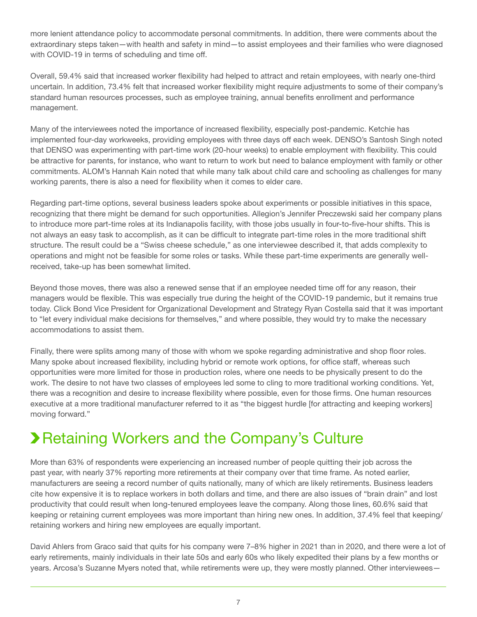more lenient attendance policy to accommodate personal commitments. In addition, there were comments about the extraordinary steps taken—with health and safety in mind—to assist employees and their families who were diagnosed with COVID-19 in terms of scheduling and time off.

Overall, 59.4% said that increased worker flexibility had helped to attract and retain employees, with nearly one-third uncertain. In addition, 73.4% felt that increased worker flexibility might require adjustments to some of their company's standard human resources processes, such as employee training, annual benefits enrollment and performance management.

Many of the interviewees noted the importance of increased flexibility, especially post-pandemic. Ketchie has implemented four-day workweeks, providing employees with three days off each week. DENSO's Santosh Singh noted that DENSO was experimenting with part-time work (20-hour weeks) to enable employment with flexibility. This could be attractive for parents, for instance, who want to return to work but need to balance employment with family or other commitments. ALOM's Hannah Kain noted that while many talk about child care and schooling as challenges for many working parents, there is also a need for flexibility when it comes to elder care.

Regarding part-time options, several business leaders spoke about experiments or possible initiatives in this space, recognizing that there might be demand for such opportunities. Allegion's Jennifer Preczewski said her company plans to introduce more part-time roles at its Indianapolis facility, with those jobs usually in four-to-five-hour shifts. This is not always an easy task to accomplish, as it can be difficult to integrate part-time roles in the more traditional shift structure. The result could be a "Swiss cheese schedule," as one interviewee described it, that adds complexity to operations and might not be feasible for some roles or tasks. While these part-time experiments are generally wellreceived, take-up has been somewhat limited.

Beyond those moves, there was also a renewed sense that if an employee needed time off for any reason, their managers would be flexible. This was especially true during the height of the COVID-19 pandemic, but it remains true today. Click Bond Vice President for Organizational Development and Strategy Ryan Costella said that it was important to "let every individual make decisions for themselves," and where possible, they would try to make the necessary accommodations to assist them.

Finally, there were splits among many of those with whom we spoke regarding administrative and shop floor roles. Many spoke about increased flexibility, including hybrid or remote work options, for office staff, whereas such opportunities were more limited for those in production roles, where one needs to be physically present to do the work. The desire to not have two classes of employees led some to cling to more traditional working conditions. Yet, there was a recognition and desire to increase flexibility where possible, even for those firms. One human resources executive at a more traditional manufacturer referred to it as "the biggest hurdle [for attracting and keeping workers] moving forward."

# **> Retaining Workers and the Company's Culture**

More than 63% of respondents were experiencing an increased number of people quitting their job across the past year, with nearly 37% reporting more retirements at their company over that time frame. As noted earlier, manufacturers are seeing a record number of quits nationally, many of which are likely retirements. Business leaders cite how expensive it is to replace workers in both dollars and time, and there are also issues of "brain drain" and lost productivity that could result when long-tenured employees leave the company. Along those lines, 60.6% said that keeping or retaining current employees was more important than hiring new ones. In addition, 37.4% feel that keeping/ retaining workers and hiring new employees are equally important.

David Ahlers from Graco said that quits for his company were 7–8% higher in 2021 than in 2020, and there were a lot of early retirements, mainly individuals in their late 50s and early 60s who likely expedited their plans by a few months or years. Arcosa's Suzanne Myers noted that, while retirements were up, they were mostly planned. Other interviewees—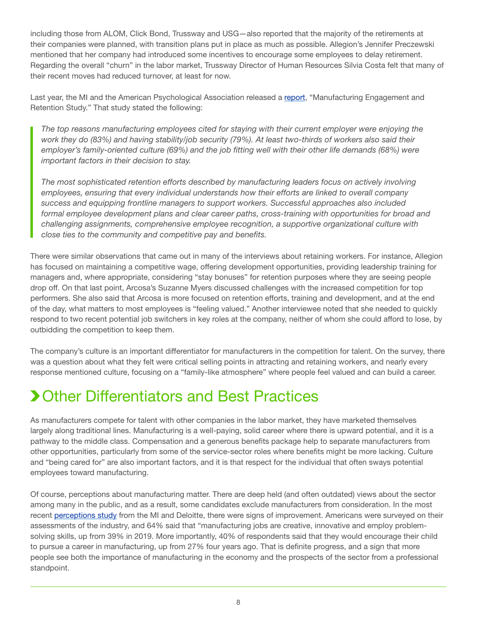including those from ALOM, Click Bond, Trussway and USG—also reported that the majority of the retirements at their companies were planned, with transition plans put in place as much as possible. Allegion's Jennifer Preczewski mentioned that her company had introduced some incentives to encourage some employees to delay retirement. Regarding the overall "churn" in the labor market, Trussway Director of Human Resources Silvia Costa felt that many of their recent moves had reduced turnover, at least for now.

Last year, the MI and the American Psychological Association released a [report,](https://www.themanufacturinginstitute.org/wp-content/uploads/2021/07/APA-Study_final.pdf) "Manufacturing Engagement and Retention Study." That study stated the following:

*The top reasons manufacturing employees cited for staying with their current employer were enjoying the work they do (83%) and having stability/job security (79%). At least two-thirds of workers also said their employer's family-oriented culture (69%) and the job fitting well with their other life demands (68%) were important factors in their decision to stay.* 

*The most sophisticated retention efforts described by manufacturing leaders focus on actively involving employees, ensuring that every individual understands how their efforts are linked to overall company success and equipping frontline managers to support workers. Successful approaches also included formal employee development plans and clear career paths, cross-training with opportunities for broad and challenging assignments, comprehensive employee recognition, a supportive organizational culture with close ties to the community and competitive pay and benefits.*

There were similar observations that came out in many of the interviews about retaining workers. For instance, Allegion has focused on maintaining a competitive wage, offering development opportunities, providing leadership training for managers and, where appropriate, considering "stay bonuses" for retention purposes where they are seeing people drop off. On that last point, Arcosa's Suzanne Myers discussed challenges with the increased competition for top performers. She also said that Arcosa is more focused on retention efforts, training and development, and at the end of the day, what matters to most employees is "feeling valued." Another interviewee noted that she needed to quickly respond to two recent potential job switchers in key roles at the company, neither of whom she could afford to lose, by outbidding the competition to keep them.

The company's culture is an important differentiator for manufacturers in the competition for talent. On the survey, there was a question about what they felt were critical selling points in attracting and retaining workers, and nearly every response mentioned culture, focusing on a "family-like atmosphere" where people feel valued and can build a career.

# **>Other Differentiators and Best Practices**

As manufacturers compete for talent with other companies in the labor market, they have marketed themselves largely along traditional lines. Manufacturing is a well-paying, solid career where there is upward potential, and it is a pathway to the middle class. Compensation and a generous benefits package help to separate manufacturers from other opportunities, particularly from some of the service-sector roles where benefits might be more lacking. Culture and "being cared for" are also important factors, and it is that respect for the individual that often sways potential employees toward manufacturing.

Of course, perceptions about manufacturing matter. There are deep held (and often outdated) views about the sector among many in the public, and as a result, some candidates exclude manufacturers from consideration. In the most recent [perceptions study](https://www.themanufacturinginstitute.org/wp-content/uploads/2022/03/DI_ERI-The-workforce-experience-in-manufacturing-Does-manufacturing-need-to-recast-its-image_final-copy-1.pdf) from the MI and Deloitte, there were signs of improvement. Americans were surveyed on their assessments of the industry, and 64% said that "manufacturing jobs are creative, innovative and employ problemsolving skills, up from 39% in 2019. More importantly, 40% of respondents said that they would encourage their child to pursue a career in manufacturing, up from 27% four years ago. That is definite progress, and a sign that more people see both the importance of manufacturing in the economy and the prospects of the sector from a professional standpoint.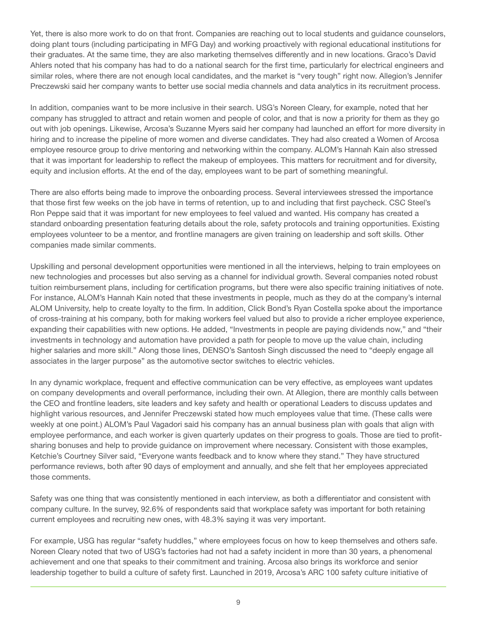Yet, there is also more work to do on that front. Companies are reaching out to local students and guidance counselors, doing plant tours (including participating in MFG Day) and working proactively with regional educational institutions for their graduates. At the same time, they are also marketing themselves differently and in new locations. Graco's David Ahlers noted that his company has had to do a national search for the first time, particularly for electrical engineers and similar roles, where there are not enough local candidates, and the market is "very tough" right now. Allegion's Jennifer Preczewski said her company wants to better use social media channels and data analytics in its recruitment process.

In addition, companies want to be more inclusive in their search. USG's Noreen Cleary, for example, noted that her company has struggled to attract and retain women and people of color, and that is now a priority for them as they go out with job openings. Likewise, Arcosa's Suzanne Myers said her company had launched an effort for more diversity in hiring and to increase the pipeline of more women and diverse candidates. They had also created a Women of Arcosa employee resource group to drive mentoring and networking within the company. ALOM's Hannah Kain also stressed that it was important for leadership to reflect the makeup of employees. This matters for recruitment and for diversity, equity and inclusion efforts. At the end of the day, employees want to be part of something meaningful.

There are also efforts being made to improve the onboarding process. Several interviewees stressed the importance that those first few weeks on the job have in terms of retention, up to and including that first paycheck. CSC Steel's Ron Peppe said that it was important for new employees to feel valued and wanted. His company has created a standard onboarding presentation featuring details about the role, safety protocols and training opportunities. Existing employees volunteer to be a mentor, and frontline managers are given training on leadership and soft skills. Other companies made similar comments.

Upskilling and personal development opportunities were mentioned in all the interviews, helping to train employees on new technologies and processes but also serving as a channel for individual growth. Several companies noted robust tuition reimbursement plans, including for certification programs, but there were also specific training initiatives of note. For instance, ALOM's Hannah Kain noted that these investments in people, much as they do at the company's internal ALOM University, help to create loyalty to the firm. In addition, Click Bond's Ryan Costella spoke about the importance of cross-training at his company, both for making workers feel valued but also to provide a richer employee experience, expanding their capabilities with new options. He added, "Investments in people are paying dividends now," and "their investments in technology and automation have provided a path for people to move up the value chain, including higher salaries and more skill." Along those lines, DENSO's Santosh Singh discussed the need to "deeply engage all associates in the larger purpose" as the automotive sector switches to electric vehicles.

In any dynamic workplace, frequent and effective communication can be very effective, as employees want updates on company developments and overall performance, including their own. At Allegion, there are monthly calls between the CEO and frontline leaders, site leaders and key safety and health or operational Leaders to discuss updates and highlight various resources, and Jennifer Preczewski stated how much employees value that time. (These calls were weekly at one point.) ALOM's Paul Vagadori said his company has an annual business plan with goals that align with employee performance, and each worker is given quarterly updates on their progress to goals. Those are tied to profitsharing bonuses and help to provide guidance on improvement where necessary. Consistent with those examples, Ketchie's Courtney Silver said, "Everyone wants feedback and to know where they stand." They have structured performance reviews, both after 90 days of employment and annually, and she felt that her employees appreciated those comments.

Safety was one thing that was consistently mentioned in each interview, as both a differentiator and consistent with company culture. In the survey, 92.6% of respondents said that workplace safety was important for both retaining current employees and recruiting new ones, with 48.3% saying it was very important.

For example, USG has regular "safety huddles," where employees focus on how to keep themselves and others safe. Noreen Cleary noted that two of USG's factories had not had a safety incident in more than 30 years, a phenomenal achievement and one that speaks to their commitment and training. Arcosa also brings its workforce and senior leadership together to build a culture of safety first. Launched in 2019, Arcosa's ARC 100 safety culture initiative of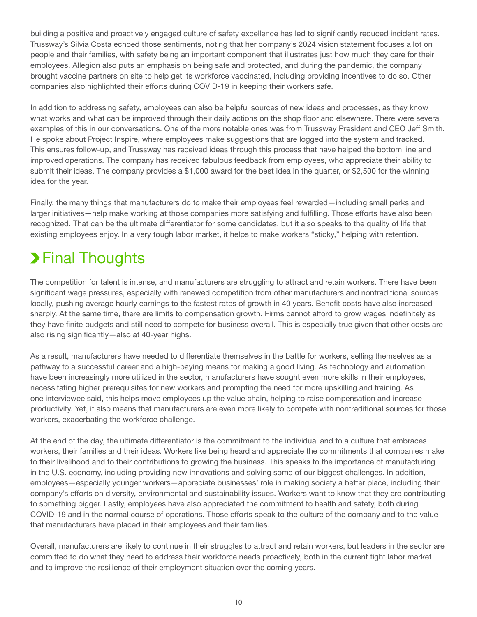building a positive and proactively engaged culture of safety excellence has led to significantly reduced incident rates. Trussway's Silvia Costa echoed those sentiments, noting that her company's 2024 vision statement focuses a lot on people and their families, with safety being an important component that illustrates just how much they care for their employees. Allegion also puts an emphasis on being safe and protected, and during the pandemic, the company brought vaccine partners on site to help get its workforce vaccinated, including providing incentives to do so. Other companies also highlighted their efforts during COVID-19 in keeping their workers safe.

In addition to addressing safety, employees can also be helpful sources of new ideas and processes, as they know what works and what can be improved through their daily actions on the shop floor and elsewhere. There were several examples of this in our conversations. One of the more notable ones was from Trussway President and CEO Jeff Smith. He spoke about Project Inspire, where employees make suggestions that are logged into the system and tracked. This ensures follow-up, and Trussway has received ideas through this process that have helped the bottom line and improved operations. The company has received fabulous feedback from employees, who appreciate their ability to submit their ideas. The company provides a \$1,000 award for the best idea in the quarter, or \$2,500 for the winning idea for the year.

Finally, the many things that manufacturers do to make their employees feel rewarded—including small perks and larger initiatives—help make working at those companies more satisfying and fulfilling. Those efforts have also been recognized. That can be the ultimate differentiator for some candidates, but it also speaks to the quality of life that existing employees enjoy. In a very tough labor market, it helps to make workers "sticky," helping with retention.

# **>Final Thoughts**

The competition for talent is intense, and manufacturers are struggling to attract and retain workers. There have been significant wage pressures, especially with renewed competition from other manufacturers and nontraditional sources locally, pushing average hourly earnings to the fastest rates of growth in 40 years. Benefit costs have also increased sharply. At the same time, there are limits to compensation growth. Firms cannot afford to grow wages indefinitely as they have finite budgets and still need to compete for business overall. This is especially true given that other costs are also rising significantly—also at 40-year highs.

As a result, manufacturers have needed to differentiate themselves in the battle for workers, selling themselves as a pathway to a successful career and a high-paying means for making a good living. As technology and automation have been increasingly more utilized in the sector, manufacturers have sought even more skills in their employees, necessitating higher prerequisites for new workers and prompting the need for more upskilling and training. As one interviewee said, this helps move employees up the value chain, helping to raise compensation and increase productivity. Yet, it also means that manufacturers are even more likely to compete with nontraditional sources for those workers, exacerbating the workforce challenge.

At the end of the day, the ultimate differentiator is the commitment to the individual and to a culture that embraces workers, their families and their ideas. Workers like being heard and appreciate the commitments that companies make to their livelihood and to their contributions to growing the business. This speaks to the importance of manufacturing in the U.S. economy, including providing new innovations and solving some of our biggest challenges. In addition, employees—especially younger workers—appreciate businesses' role in making society a better place, including their company's efforts on diversity, environmental and sustainability issues. Workers want to know that they are contributing to something bigger. Lastly, employees have also appreciated the commitment to health and safety, both during COVID-19 and in the normal course of operations. Those efforts speak to the culture of the company and to the value that manufacturers have placed in their employees and their families.

Overall, manufacturers are likely to continue in their struggles to attract and retain workers, but leaders in the sector are committed to do what they need to address their workforce needs proactively, both in the current tight labor market and to improve the resilience of their employment situation over the coming years.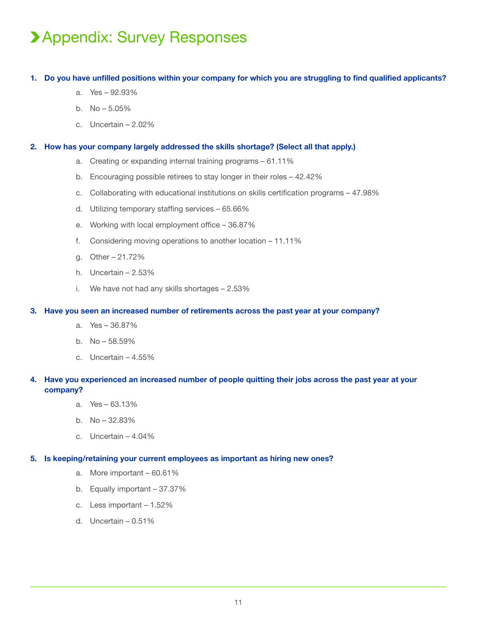# Appendix: Survey Responses

### **1. Do you have unfilled positions within your company for which you are struggling to find qualified applicants?**

- a. Yes 92.93%
- b. No 5.05%
- c. Uncertain 2.02%

### **2. How has your company largely addressed the skills shortage? (Select all that apply.)**

- a. Creating or expanding internal training programs 61.11%
- b. Encouraging possible retirees to stay longer in their roles 42.42%
- c. Collaborating with educational institutions on skills certification programs 47.98%
- d. Utilizing temporary staffing services 65.66%
- e. Working with local employment office 36.87%
- f. Considering moving operations to another location 11.11%
- g. Other 21.72%
- h. Uncertain 2.53%
- i. We have not had any skills shortages 2.53%

#### **3. Have you seen an increased number of retirements across the past year at your company?**

- a. Yes 36.87%
- b. No 58.59%
- c. Uncertain 4.55%

## **4. Have you experienced an increased number of people quitting their jobs across the past year at your company?**

- a. Yes 63.13%
- b. No 32.83%
- c. Uncertain 4.04%

### **5. Is keeping/retaining your current employees as important as hiring new ones?**

- a. More important 60.61%
- b. Equally important 37.37%
- c. Less important 1.52%
- d. Uncertain 0.51%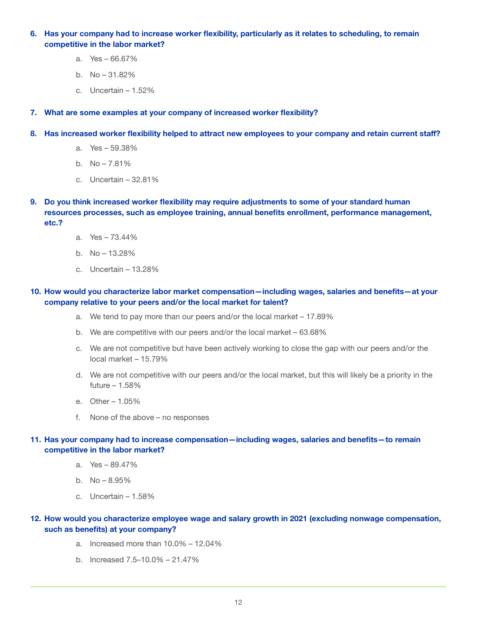**6. Has your company had to increase worker flexibility, particularly as it relates to scheduling, to remain competitive in the labor market?**

- a. Yes 66.67%
- b. No 31.82%
- c. Uncertain 1.52%

**7. What are some examples at your company of increased worker flexibility?** 

- **8. Has increased worker flexibility helped to attract new employees to your company and retain current staff?**
	- a. Yes 59.38%
	- b.  $No 7.81\%$
	- c. Uncertain 32.81%
- **9. Do you think increased worker flexibility may require adjustments to some of your standard human resources processes, such as employee training, annual benefits enrollment, performance management, etc.?**
	- a. Yes 73.44%
	- b. No 13.28%
	- c. Uncertain 13.28%

### **10. How would you characterize labor market compensation—including wages, salaries and benefits—at your company relative to your peers and/or the local market for talent?**

- a. We tend to pay more than our peers and/or the local market 17.89%
- b. We are competitive with our peers and/or the local market 63.68%
- c. We are not competitive but have been actively working to close the gap with our peers and/or the local market – 15.79%
- d. We are not competitive with our peers and/or the local market, but this will likely be a priority in the future – 1.58%
- e. Other 1.05%
- f. None of the above no responses

### **11. Has your company had to increase compensation—including wages, salaries and benefits—to remain competitive in the labor market?**

- a. Yes 89.47%
- b. No 8.95%
- c. Uncertain 1.58%

### **12. How would you characterize employee wage and salary growth in 2021 (excluding nonwage compensation, such as benefits) at your company?**

- a. Increased more than 10.0% 12.04%
- b. Increased 7.5–10.0% 21.47%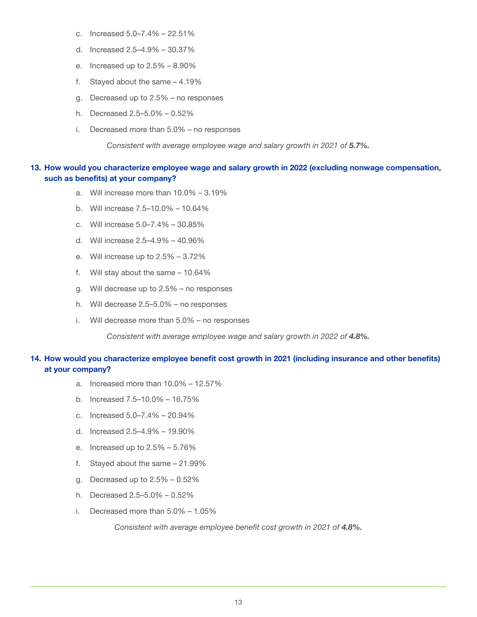- c. Increased 5.0–7.4% 22.51%
- d. Increased 2.5–4.9% 30.37%
- e. Increased up to 2.5% 8.90%
- f. Stayed about the same 4.19%
- g. Decreased up to 2.5% no responses
- h. Decreased 2.5–5.0% 0.52%
- i. Decreased more than 5.0% no responses

*Consistent with average employee wage and salary growth in 2021 of 5.7%.* 

### **13. How would you characterize employee wage and salary growth in 2022 (excluding nonwage compensation, such as benefits) at your company?**

- a. Will increase more than 10.0% 3.19%
- b. Will increase 7.5–10.0% 10.64%
- c. Will increase 5.0–7.4% 30.85%
- d. Will increase 2.5–4.9% 40.96%
- e. Will increase up to 2.5% 3.72%
- f. Will stay about the same 10.64%
- g. Will decrease up to 2.5% no responses
- h. Will decrease 2.5–5.0% no responses
- i. Will decrease more than 5.0% no responses

*Consistent with average employee wage and salary growth in 2022 of 4.8%.* 

### **14. How would you characterize employee benefit cost growth in 2021 (including insurance and other benefits) at your company?**

- a. Increased more than 10.0% 12.57%
- b. Increased 7.5–10.0% 16.75%
- c. Increased 5.0–7.4% 20.94%
- d. Increased 2.5–4.9% 19.90%
- e. Increased up to 2.5% 5.76%
- f. Stayed about the same 21.99%
- g. Decreased up to 2.5% 0.52%
- h. Decreased 2.5–5.0% 0.52%
- i. Decreased more than 5.0% 1.05%

*Consistent with average employee benefit cost growth in 2021 of 4.8%.*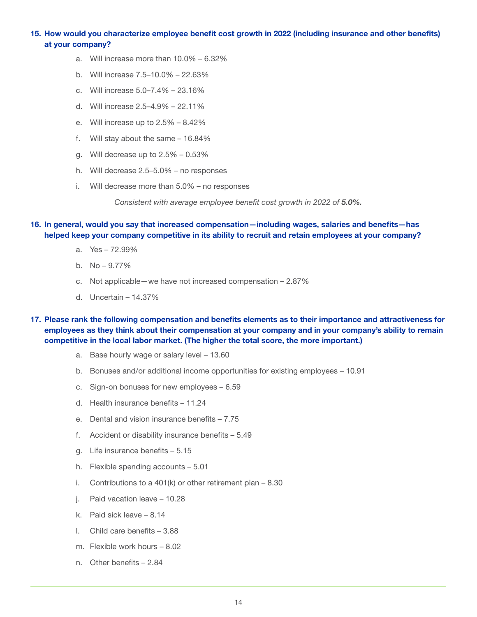### **15. How would you characterize employee benefit cost growth in 2022 (including insurance and other benefits) at your company?**

- a. Will increase more than 10.0% 6.32%
- b. Will increase 7.5–10.0% 22.63%
- c. Will increase 5.0–7.4% 23.16%
- d. Will increase 2.5–4.9% 22.11%
- e. Will increase up to 2.5% 8.42%
- f. Will stay about the same 16.84%
- g. Will decrease up to 2.5% 0.53%
- h. Will decrease 2.5–5.0% no responses
- i. Will decrease more than 5.0% no responses

*Consistent with average employee benefit cost growth in 2022 of 5.0%.*

#### **16. In general, would you say that increased compensation—including wages, salaries and benefits—has helped keep your company competitive in its ability to recruit and retain employees at your company?**

- a. Yes 72.99%
- b. No 9.77%
- c. Not applicable—we have not increased compensation 2.87%
- d. Uncertain 14.37%

### **17. Please rank the following compensation and benefits elements as to their importance and attractiveness for employees as they think about their compensation at your company and in your company's ability to remain competitive in the local labor market. (The higher the total score, the more important.)**

- a. Base hourly wage or salary level 13.60
- b. Bonuses and/or additional income opportunities for existing employees 10.91
- c. Sign-on bonuses for new employees 6.59
- d. Health insurance benefits 11.24
- e. Dental and vision insurance benefits 7.75
- f. Accident or disability insurance benefits 5.49
- g. Life insurance benefits 5.15
- h. Flexible spending accounts 5.01
- i. Contributions to a 401(k) or other retirement plan 8.30
- j. Paid vacation leave 10.28
- k. Paid sick leave 8.14
- l. Child care benefits 3.88
- m. Flexible work hours 8.02
- n. Other benefits 2.84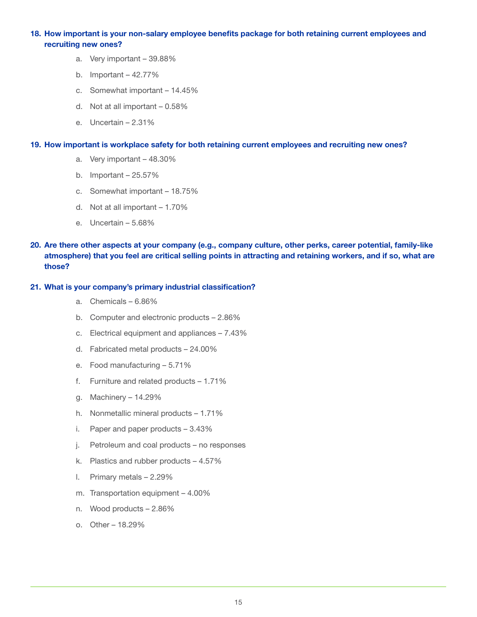### **18. How important is your non-salary employee benefits package for both retaining current employees and recruiting new ones?**

- a. Very important 39.88%
- b. Important  $-42.77%$
- c. Somewhat important 14.45%
- d. Not at all important 0.58%
- e. Uncertain 2.31%

#### **19. How important is workplace safety for both retaining current employees and recruiting new ones?**

- a. Very important 48.30%
- b. Important 25.57%
- c. Somewhat important 18.75%
- d. Not at all important 1.70%
- e. Uncertain 5.68%
- **20. Are there other aspects at your company (e.g., company culture, other perks, career potential, family-like atmosphere) that you feel are critical selling points in attracting and retaining workers, and if so, what are those?**

### **21. What is your company's primary industrial classification?**

- a. Chemicals 6.86%
- b. Computer and electronic products 2.86%
- c. Electrical equipment and appliances 7.43%
- d. Fabricated metal products 24.00%
- e. Food manufacturing 5.71%
- f. Furniture and related products 1.71%
- g. Machinery 14.29%
- h. Nonmetallic mineral products 1.71%
- i. Paper and paper products 3.43%
- j. Petroleum and coal products no responses
- k. Plastics and rubber products 4.57%
- l. Primary metals 2.29%
- m. Transportation equipment 4.00%
- n. Wood products 2.86%
- o. Other 18.29%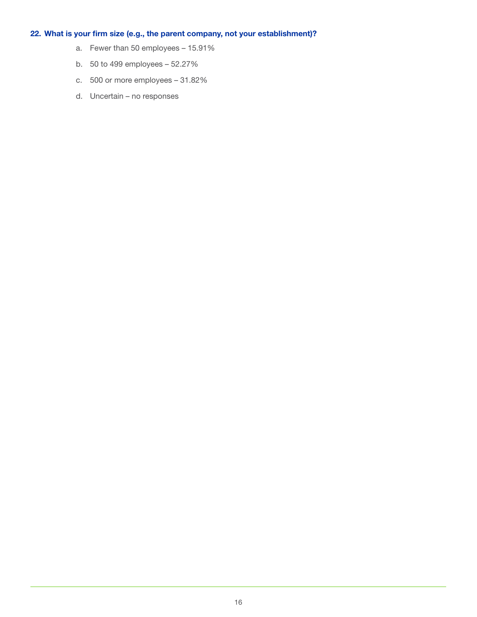## **22. What is your firm size (e.g., the parent company, not your establishment)?**

- a. Fewer than 50 employees 15.91%
- b. 50 to 499 employees 52.27%
- c. 500 or more employees 31.82%
- d. Uncertain no responses